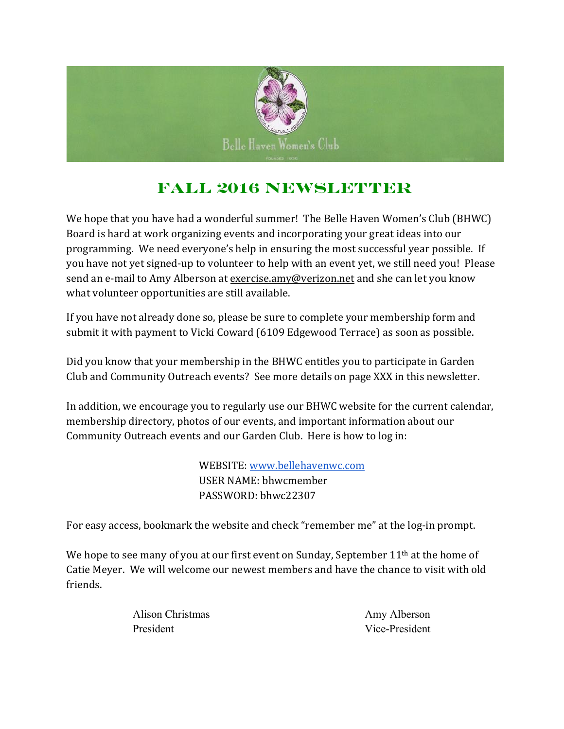

## **Fall 2016 Newsletter**

We hope that you have had a wonderful summer! The Belle Haven Women's Club (BHWC) Board is hard at work organizing events and incorporating your great ideas into our programming. We need everyone's help in ensuring the most successful year possible. If you have not yet signed-up to volunteer to help with an event yet, we still need you! Please send an e-mail to Amy Alberson at exercise.amy@verizon.net and she can let you know what volunteer opportunities are still available.

If you have not already done so, please be sure to complete your membership form and submit it with payment to Vicki Coward (6109 Edgewood Terrace) as soon as possible.

Did you know that your membership in the BHWC entitles you to participate in Garden Club and Community Outreach events? See more details on page XXX in this newsletter.

In addition, we encourage you to regularly use our BHWC website for the current calendar, membership directory, photos of our events, and important information about our Community Outreach events and our Garden Club. Here is how to log in:

> WEBSITE: www.bellehavenwc.com USER NAME: bhwcmember PASSWORD: bhwc22307

For easy access, bookmark the website and check "remember me" at the log-in prompt.

We hope to see many of you at our first event on Sunday, September 11<sup>th</sup> at the home of Catie Meyer. We will welcome our newest members and have the chance to visit with old friends.

| Alison Christmas | Amy Alberson   |
|------------------|----------------|
| President        | Vice-President |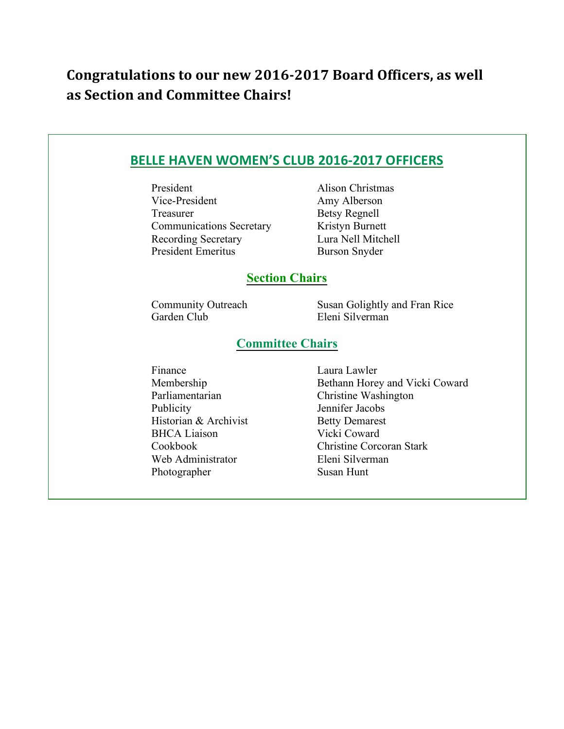## **Congratulations to our new 2016-2017 Board Officers, as well as Section and Committee Chairs!**

| President                       | <b>Alison Christmas</b>         |
|---------------------------------|---------------------------------|
| Vice-President                  | Amy Alberson                    |
| Treasurer                       | <b>Betsy Regnell</b>            |
| <b>Communications Secretary</b> | Kristyn Burnett                 |
| Recording Secretary             | Lura Nell Mitchell              |
| <b>President Emeritus</b>       | <b>Burson Snyder</b>            |
|                                 | <b>Section Chairs</b>           |
| <b>Community Outreach</b>       | Susan Golightly and Fran Rice   |
| Garden Club                     | Eleni Silverman                 |
|                                 | <b>Committee Chairs</b>         |
| Finance                         | Laura Lawler                    |
| Membership                      | Bethann Horey and Vicki Coward  |
| Parliamentarian                 | Christine Washington            |
| Publicity                       | Jennifer Jacobs                 |
| Historian & Archivist           | <b>Betty Demarest</b>           |
| <b>BHCA</b> Liaison             | Vicki Coward                    |
| Cookbook                        | <b>Christine Corcoran Stark</b> |
| Web Administrator               | Eleni Silverman                 |
| Photographer                    | Susan Hunt                      |

Photographer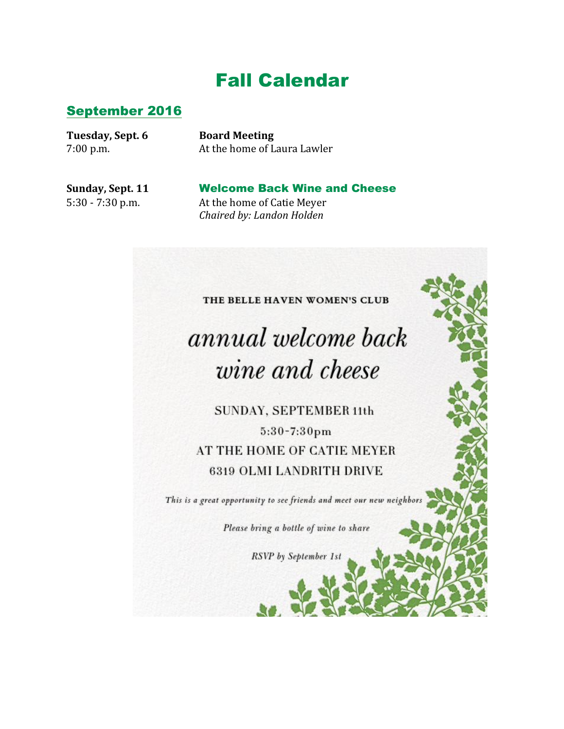# Fall Calendar

#### September 2016

**Tuesday, Sept. 6 Board Meeting**

7:00 p.m. At the home of Laura Lawler

**Sunday, Sept. 11** Welcome Back Wine and Cheese 5:30 - 7:30 p.m. At the home of Catie Meyer *Chaired by: Landon Holden*

#### THE BELLE HAVEN WOMEN'S CLUB

# annual welcome back wine and cheese

SUNDAY, SEPTEMBER 11th

 $5:30 - 7:30$ pm AT THE HOME OF CATIE MEYER **6319 OLMI LANDRITH DRIVE** 

This is a great opportunity to see friends and meet our new neighbors

Please bring a bottle of wine to share

RSVP by September 1st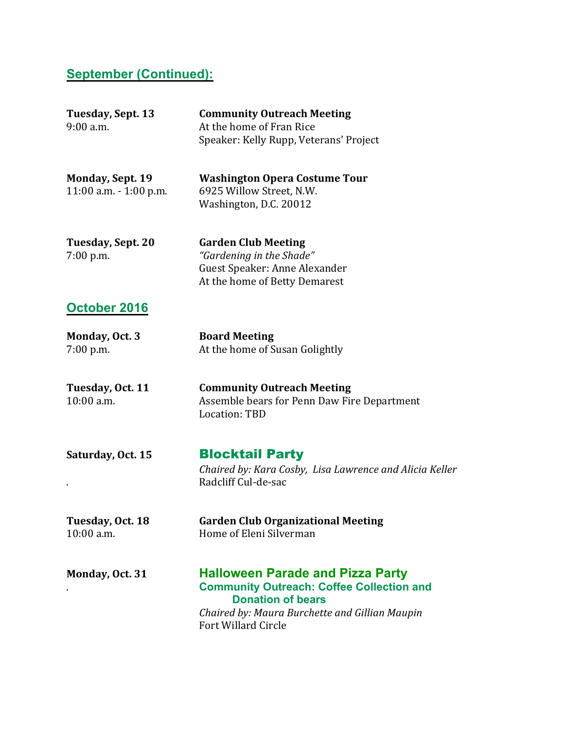#### **September (Continued):**

| Tuesday, Sept. 13<br>$9:00$ a.m.                     | <b>Community Outreach Meeting</b><br>At the home of Fran Rice<br>Speaker: Kelly Rupp, Veterans' Project                  |
|------------------------------------------------------|--------------------------------------------------------------------------------------------------------------------------|
| <b>Monday, Sept. 19</b><br>$11:00$ a.m. $-1:00$ p.m. | <b>Washington Opera Costume Tour</b><br>6925 Willow Street, N.W.<br>Washington, D.C. 20012                               |
| Tuesday, Sept. 20<br>$7:00$ p.m.                     | <b>Garden Club Meeting</b><br>"Gardening in the Shade"<br>Guest Speaker: Anne Alexander<br>At the home of Betty Demarest |

#### **October 2016**

| Monday, Oct. 3 | <b>Board Meeting</b>           |
|----------------|--------------------------------|
| $7:00$ p.m.    | At the home of Susan Golightly |

| Tuesday, Oct. 11 | <b>Community Outreach Meeting</b>           |
|------------------|---------------------------------------------|
| $10:00$ a.m.     | Assemble bears for Penn Daw Fire Department |
|                  | Location: TBD                               |

**Saturday, Oct. 15** Blocktail Party *Chaired by: Kara Cosby, Lisa Lawrence and Alicia Keller* . Radcliff Cul-de-sac

**Tuesday, Oct. 18 Garden Club Organizational Meeting** 10:00 a.m. Home of Eleni Silverman

#### **Monday, Oct. 31 Halloween Parade and Pizza Party** . **Community Outreach: Coffee Collection and Donation of bears** *Chaired by: Maura Burchette and Gillian Maupin*

Fort Willard Circle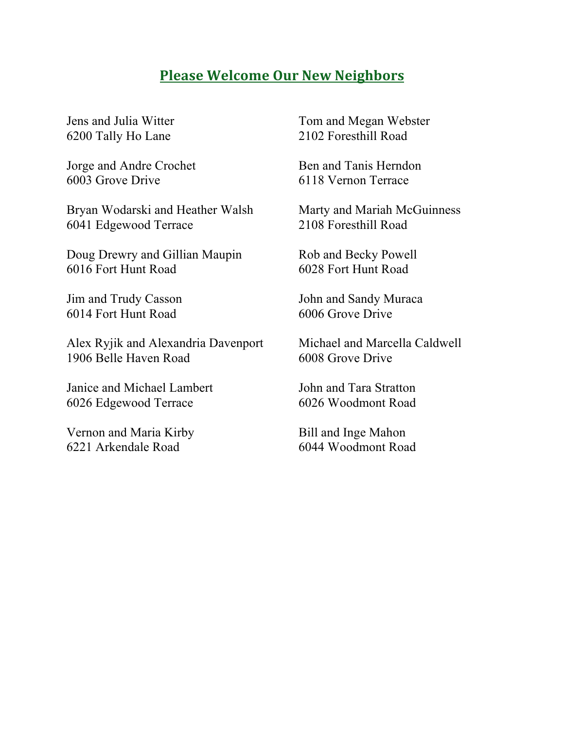### **Please Welcome Our New Neighbors**

Jens and Julia Witter 6200 Tally Ho Lane

Jorge and Andre Crochet 6003 Grove Drive

Bryan Wodarski and Heather Walsh 6041 Edgewood Terrace

Doug Drewry and Gillian Maupin 6016 Fort Hunt Road

Jim and Trudy Casson 6014 Fort Hunt Road

Alex Ryjik and Alexandria Davenport 1906 Belle Haven Road

Janice and Michael Lambert 6026 Edgewood Terrace

Vernon and Maria Kirby 6221 Arkendale Road

Tom and Megan Webster 2102 Foresthill Road

Ben and Tanis Herndon 6118 Vernon Terrace

Marty and Mariah McGuinness 2108 Foresthill Road

Rob and Becky Powell 6028 Fort Hunt Road

John and Sandy Muraca 6006 Grove Drive

Michael and Marcella Caldwell 6008 Grove Drive

John and Tara Stratton 6026 Woodmont Road

Bill and Inge Mahon 6044 Woodmont Road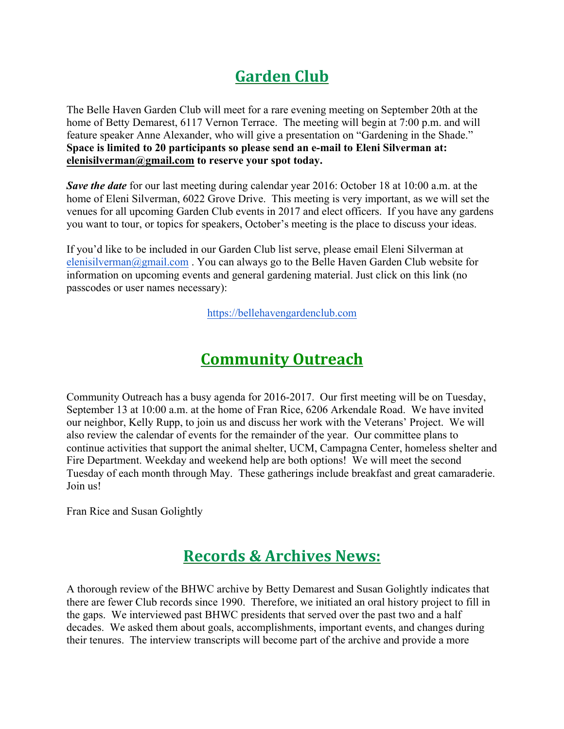# **Garden Club**

The Belle Haven Garden Club will meet for a rare evening meeting on September 20th at the home of Betty Demarest, 6117 Vernon Terrace. The meeting will begin at 7:00 p.m. and will feature speaker Anne Alexander, who will give a presentation on "Gardening in the Shade." **Space is limited to 20 participants so please send an e-mail to Eleni Silverman at: elenisilverman@gmail.com to reserve your spot today.**

*Save the date* for our last meeting during calendar year 2016: October 18 at 10:00 a.m. at the home of Eleni Silverman, 6022 Grove Drive. This meeting is very important, as we will set the venues for all upcoming Garden Club events in 2017 and elect officers. If you have any gardens you want to tour, or topics for speakers, October's meeting is the place to discuss your ideas.

If you'd like to be included in our Garden Club list serve, please email Eleni Silverman at elenisilverman@gmail.com. You can always go to the Belle Haven Garden Club website for information on upcoming events and general gardening material. Just click on this link (no passcodes or user names necessary):

https://bellehavengardenclub.com

## **Community Outreach**

Community Outreach has a busy agenda for 2016-2017. Our first meeting will be on Tuesday, September 13 at 10:00 a.m. at the home of Fran Rice, 6206 Arkendale Road. We have invited our neighbor, Kelly Rupp, to join us and discuss her work with the Veterans' Project. We will also review the calendar of events for the remainder of the year. Our committee plans to continue activities that support the animal shelter, UCM, Campagna Center, homeless shelter and Fire Department. Weekday and weekend help are both options! We will meet the second Tuesday of each month through May. These gatherings include breakfast and great camaraderie. Join us!

Fran Rice and Susan Golightly

## **Records & Archives News:**

A thorough review of the BHWC archive by Betty Demarest and Susan Golightly indicates that there are fewer Club records since 1990. Therefore, we initiated an oral history project to fill in the gaps. We interviewed past BHWC presidents that served over the past two and a half decades. We asked them about goals, accomplishments, important events, and changes during their tenures. The interview transcripts will become part of the archive and provide a more